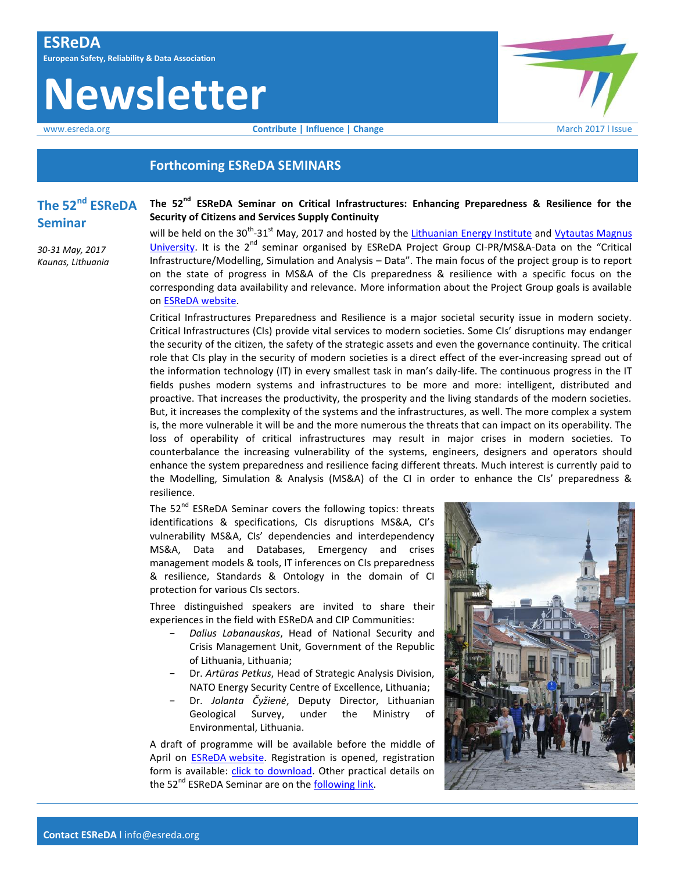# **Newsletter**



## **Forthcoming ESReDA SEMINARS**

## **The 52nd ESReDA Seminar**

*30-31 May, 2017 Kaunas, Lithuania* **The 52nd ESReDA Seminar on Critical Infrastructures: Enhancing Preparedness & Resilience for the Security of Citizens and Services Supply Continuity**

will be held on the 30<sup>th</sup>-31<sup>st</sup> May, 2017 and hosted by th[e Lithuanian Energy Institute](http://www.lei.lt/index.php?k=9) and Vytautas Magnus [University.](http://www.vdu.lt/en/) It is the 2<sup>nd</sup> seminar organised by ESReDA Project Group CI-PR/MS&A-Data on the "Critical Infrastructure/Modelling, Simulation and Analysis – Data". The main focus of the project group is to report on the state of progress in MS&A of the CIs preparedness & resilience with a specific focus on the corresponding data availability and relevance. More information about the Project Group goals is available on [ESReDA website.](https://www.esreda.org/projectcasestudy/critical-infrastructure-preparedness-and-resilience/)

Critical Infrastructures Preparedness and Resilience is a major societal security issue in modern society. Critical Infrastructures (CIs) provide vital services to modern societies. Some CIs' disruptions may endanger the security of the citizen, the safety of the strategic assets and even the governance continuity. The critical role that CIs play in the security of modern societies is a direct effect of the ever-increasing spread out of the information technology (IT) in every smallest task in man's daily-life. The continuous progress in the IT fields pushes modern systems and infrastructures to be more and more: intelligent, distributed and proactive. That increases the productivity, the prosperity and the living standards of the modern societies. But, it increases the complexity of the systems and the infrastructures, as well. The more complex a system is, the more vulnerable it will be and the more numerous the threats that can impact on its operability. The loss of operability of critical infrastructures may result in major crises in modern societies. To counterbalance the increasing vulnerability of the systems, engineers, designers and operators should enhance the system preparedness and resilience facing different threats. Much interest is currently paid to the Modelling, Simulation & Analysis (MS&A) of the CI in order to enhance the CIs' preparedness & resilience.

The  $52<sup>nd</sup>$  ESReDA Seminar covers the following topics: threats identifications & specifications, CIs disruptions MS&A, CI's vulnerability MS&A, CIs' dependencies and interdependency MS&A, Data and Databases, Emergency and crises management models & tools, IT inferences on CIs preparedness & resilience, Standards & Ontology in the domain of CI protection for various CIs sectors.

Three distinguished speakers are invited to share their experiences in the field with ESReDA and CIP Communities:

- − *Dalius Labanauskas*, Head of National Security and Crisis Management Unit, Government of the Republic of Lithuania, Lithuania;
- − Dr. *Artūras Petkus*, Head of Strategic Analysis Division, NATO Energy Security Centre of Excellence, Lithuania;
- − Dr. *Jolanta Čyžienė*, Deputy Director, Lithuanian Geological Survey, under the Ministry of Environmental, Lithuania.

A draft of programme will be available before the middle of April on **ESReDA** [website.](https://www.esreda.org/event/52nd-esreda-seminar/) Registration is opened, registration form is available: [click to download.](https://www.esreda.org/wp-content/uploads/2017/02/Registration_form_52nd.docx) Other practical details on the 52<sup>nd</sup> ESReDA Seminar are on the [following link.](https://www.esreda.org/event/52nd-esreda-seminar/)

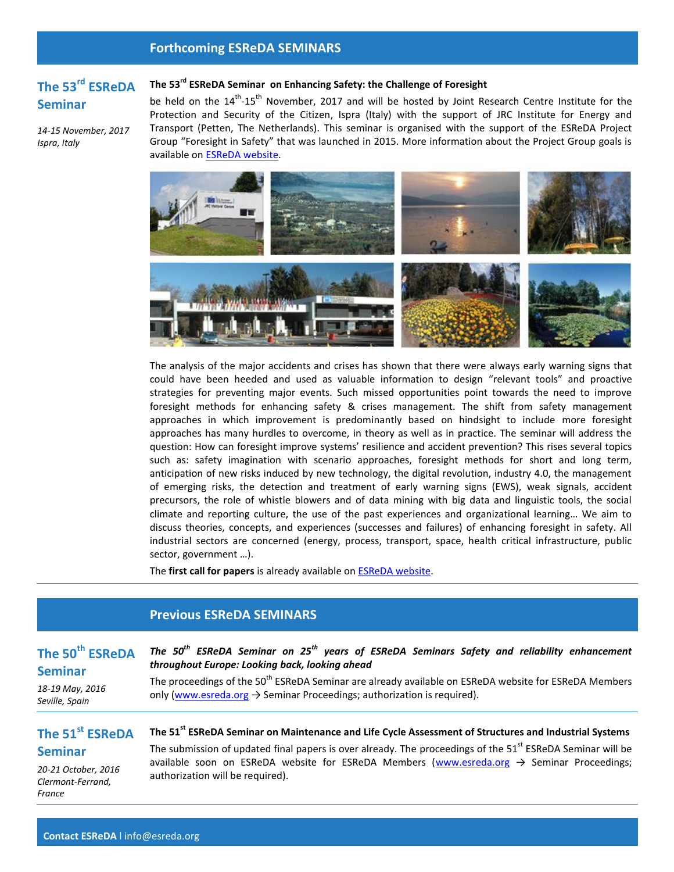## **Forthcoming ESReDA SEMINARS**

## **The 53rd ESReDA Seminar**

*14-15 November, 2017 Ispra, Italy*

### **The 53rd ESReDA Seminar on Enhancing Safety: the Challenge of Foresight**

be held on the 14<sup>th</sup>-15<sup>th</sup> November, 2017 and will be hosted by Joint Research Centre Institute for the Protection and Security of the Citizen, Ispra (Italy) with the support of JRC Institute for Energy and Transport (Petten, The Netherlands). This seminar is organised with the support of the ESReDA Project Group "Foresight in Safety" that was launched in 2015. More information about the Project Group goals is available on [ESReDA website.](https://www.esreda.org/projectcasestudy/foresight-in-safety/)



The analysis of the major accidents and crises has shown that there were always early warning signs that could have been heeded and used as valuable information to design "relevant tools" and proactive strategies for preventing major events. Such missed opportunities point towards the need to improve foresight methods for enhancing safety & crises management. The shift from safety management approaches in which improvement is predominantly based on hindsight to include more foresight approaches has many hurdles to overcome, in theory as well as in practice. The seminar will address the question: How can foresight improve systems' resilience and accident prevention? This rises several topics such as: safety imagination with scenario approaches, foresight methods for short and long term, anticipation of new risks induced by new technology, the digital revolution, industry 4.0, the management of emerging risks, the detection and treatment of early warning signs (EWS), weak signals, accident precursors, the role of whistle blowers and of data mining with big data and linguistic tools, the social climate and reporting culture, the use of the past experiences and organizational learning… We aim to discuss theories, concepts, and experiences (successes and failures) of enhancing foresight in safety. All industrial sectors are concerned (energy, process, transport, space, health critical infrastructure, public sector, government …).

The **first call for papers** is already available o[n ESReDA website.](https://www.esreda.org/event/53rd-esreda-seminar/)

## **Previous ESReDA SEMINARS**

## **The 50th ESReDA Seminar**

*The 50th ESReDA Seminar on 25th years of ESReDA Seminars Safety and reliability enhancement throughout Europe: Looking back, looking ahead* 

*18-19 May, 2016 Seville, Spain*

The proceedings of the 50<sup>th</sup> ESReDA Seminar are already available on ESReDA website for ESReDA Members only [\(www.esreda.org](http://www.esreda.org/)  $\rightarrow$  Seminar Proceedings; authorization is required).

## **The 51st ESReDA Seminar**

**The 51st ESReDA Seminar on Maintenance and Life Cycle Assessment of Structures and Industrial Systems**  The submission of updated final papers is over already. The proceedings of the  $51<sup>st</sup>$  ESReDA Seminar will be

*20-21 October, 2016 Clermont-Ferrand, France*

available soon on ESReDA website for ESReDA Members [\(www.esreda.org](http://www.esreda.org/)  $\rightarrow$  Seminar Proceedings; authorization will be required).